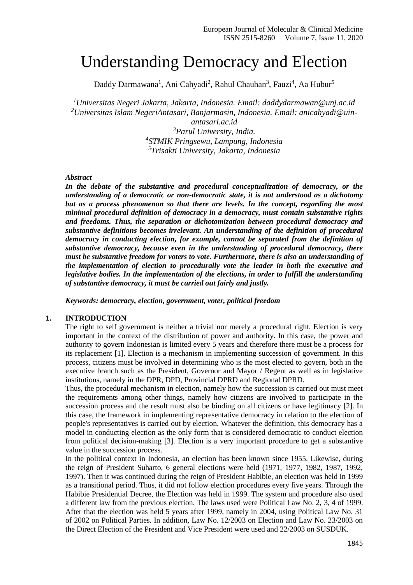# Understanding Democracy and Election

Daddy Darmawana<sup>1</sup>, Ani Cahyadi<sup>2</sup>, Rahul Chauhan<sup>3</sup>, Fauzi<sup>4</sup>, Aa Hubur<sup>5</sup>

*<sup>1</sup>Universitas Negeri Jakarta, Jakarta, Indonesia. Email: [daddydarmawan@unj.ac.id](mailto:daddydarmawan@unj.ac.id) <sup>2</sup>Universitas Islam NegeriAntasari, Banjarmasin, Indonesia. Email: [anicahyadi@uin-](mailto:anicahyadi@uin-antasari.ac.id)*

*[antasari.ac.id](mailto:anicahyadi@uin-antasari.ac.id) Parul University, India. STMIK Pringsewu, Lampung, Indonesia Trisakti University, Jakarta, Indonesia*

#### *Abstract*

*In the debate of the substantive and procedural conceptualization of democracy, or the understanding of a democratic or non-democratic state, it is not understood as a dichotomy but as a process phenomenon so that there are levels. In the concept, regarding the most minimal procedural definition of democracy in a democracy, must contain substantive rights and freedoms. Thus, the separation or dichotomization between procedural democracy and substantive definitions becomes irrelevant. An understanding of the definition of procedural democracy in conducting election, for example, cannot be separated from the definition of substantive democracy, because even in the understanding of procedural democracy, there must be substantive freedom for voters to vote. Furthermore, there is also an understanding of the implementation of election to procedurally vote the leader in both the executive and legislative bodies. In the implementation of the elections, in order to fulfill the understanding of substantive democracy, it must be carried out fairly and justly.*

*Keywords: democracy, election, government, voter, political freedom*

#### **1. INTRODUCTION**

The right to self government is neither a trivial nor merely a procedural right. Election is very important in the context of the distribution of power and authority. In this case, the power and authority to govern Indonesian is limited every 5 years and therefore there must be a process for its replacement [1]. Election is a mechanism in implementing succession of government. In this process, citizens must be involved in determining who is the most elected to govern, both in the executive branch such as the President, Governor and Mayor / Regent as well as in legislative institutions, namely in the DPR, DPD, Provincial DPRD and Regional DPRD.

Thus, the procedural mechanism in election, namely how the succession is carried out must meet the requirements among other things, namely how citizens are involved to participate in the succession process and the result must also be binding on all citizens or have legitimacy [2]. In this case, the framework in implementing representative democracy in relation to the election of people's representatives is carried out by election. Whatever the definition, this democracy has a model in conducting election as the only form that is considered democratic to conduct election from political decision-making [3]. Election is a very important procedure to get a substantive value in the succession process.

In the political context in Indonesia, an election has been known since 1955. Likewise, during the reign of President Suharto, 6 general elections were held (1971, 1977, 1982, 1987, 1992, 1997). Then it was continued during the reign of President Habibie, an election was held in 1999 as a transitional period. Thus, it did not follow election procedures every five years. Through the Habibie Presidential Decree, the Election was held in 1999. The system and procedure also used a different law from the previous election. The laws used were Political Law No. 2, 3, 4 of 1999. After that the election was held 5 years after 1999, namely in 2004, using Political Law No. 31 of 2002 on Political Parties. In addition, Law No. 12/2003 on Election and Law No. 23/2003 on the Direct Election of the President and Vice President were used and 22/2003 on SUSDUK.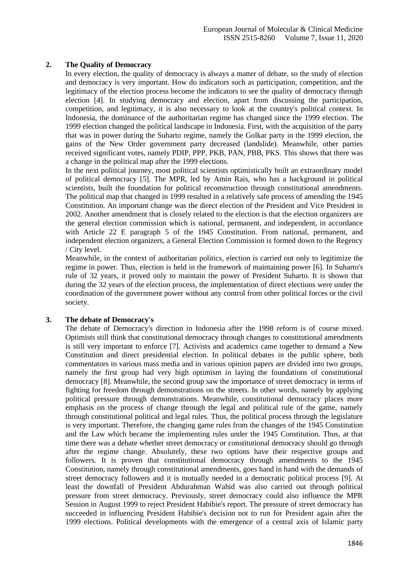## **2. The Quality of Democracy**

In every election, the quality of democracy is always a matter of debate, so the study of election and democracy is very important. How do indicators such as participation, competition, and the legitimacy of the election process become the indicators to see the quality of democracy through election [4]. In studying democracy and election, apart from discussing the participation, competition, and legitimacy, it is also necessary to look at the country's political context. In Indonesia, the dominance of the authoritarian regime has changed since the 1999 election. The 1999 election changed the political landscape in Indonesia. First, with the acquisition of the party that was in power during the Suharto regime, namely the Golkar party in the 1999 election, the gains of the New Order government party decreased (landslide). Meanwhile, other parties received significant votes, namely PDIP, PPP, PKB, PAN, PBB, PKS. This shows that there was a change in the political map after the 1999 elections.

In the next political journey, most political scientists optimistically built an extraordinary model of political democracy [5]. The MPR, led by Amin Rais, who has a background in political scientists, built the foundation for political reconstruction through constitutional amendments. The political map that changed in 1999 resulted in a relatively safe process of amending the 1945 Constitution. An important change was the direct election of the President and Vice President in 2002. Another amendment that is closely related to the election is that the election organizers are the general election commission which is national, permanent, and independent, in accordance with Article 22 E paragraph 5 of the 1945 Constitution. From national, permanent, and independent election organizers, a General Election Commission is formed down to the Regency / City level.

Meanwhile, in the context of authoritarian politics, election is carried out only to legitimize the regime in power. Thus, election is held in the framework of maintaining power [6]. In Suharto's rule of 32 years, it proved only to maintain the power of President Suharto. It is shown that during the 32 years of the election process, the implementation of direct elections were under the coordination of the government power without any control from other political forces or the civil society.

#### **3. The debate of Democracy's**

The debate of Democracy's direction in Indonesia after the 1998 reform is of course mixed. Optimists still think that constitutional democracy through changes to constitutional amendments is still very important to enforce [7]. Activists and academics came together to demand a New Constitution and direct presidential election. In political debates in the public sphere, both commentators in various mass media and in various opinion papers are divided into two groups, namely the first group had very high optimism in laying the foundations of constitutional democracy [8]. Meanwhile, the second group saw the importance of street democracy in terms of fighting for freedom through demonstrations on the streets. In other words, namely by applying political pressure through demonstrations. Meanwhile, constitutional democracy places more emphasis on the process of change through the legal and political rule of the game, namely through constitutional political and legal rules. Thus, the political process through the legislature is very important. Therefore, the changing game rules from the changes of the 1945 Constitution and the Law which became the implementing rules under the 1945 Constitution. Thus, at that time there was a debate whether street democracy or constitutional democracy should go through after the regime change. Absolutely, these two options have their respective groups and followers. It is proven that constitutional democracy through amendments to the 1945 Constitution, namely through constitutional amendments, goes hand in hand with the demands of street democracy followers and it is mutually needed in a democratic political process [9]. At least the downfall of President Abdurahman Wahid was also carried out through political pressure from street democracy. Previously, street democracy could also influence the MPR Session in August 1999 to reject President Habibie's report. The pressure of street democracy has succeeded in influencing President Habibie's decision not to run for President again after the 1999 elections. Political developments with the emergence of a central axis of Islamic party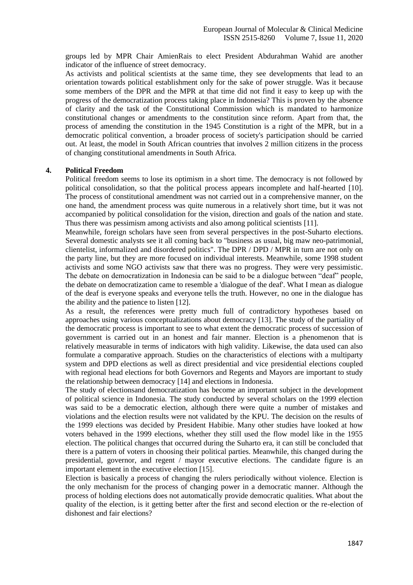groups led by MPR Chair AmienRais to elect President Abdurahman Wahid are another indicator of the influence of street democracy.

As activists and political scientists at the same time, they see developments that lead to an orientation towards political establishment only for the sake of power struggle. Was it because some members of the DPR and the MPR at that time did not find it easy to keep up with the progress of the democratization process taking place in Indonesia? This is proven by the absence of clarity and the task of the Constitutional Commission which is mandated to harmonize constitutional changes or amendments to the constitution since reform. Apart from that, the process of amending the constitution in the 1945 Constitution is a right of the MPR, but in a democratic political convention, a broader process of society's participation should be carried out. At least, the model in South African countries that involves 2 million citizens in the process of changing constitutional amendments in South Africa.

## **4. Political Freedom**

Political freedom seems to lose its optimism in a short time. The democracy is not followed by political consolidation, so that the political process appears incomplete and half-hearted [10]. The process of constitutional amendment was not carried out in a comprehensive manner, on the one hand, the amendment process was quite numerous in a relatively short time, but it was not accompanied by political consolidation for the vision, direction and goals of the nation and state. Thus there was pessimism among activists and also among political scientists [11].

Meanwhile, foreign scholars have seen from several perspectives in the post-Suharto elections. Several domestic analysts see it all coming back to "business as usual, big maw neo-patrimonial, clientelist, informalized and disordered politics". The DPR / DPD / MPR in turn are not only on the party line, but they are more focused on individual interests. Meanwhile, some 1998 student activists and some NGO activists saw that there was no progress. They were very pessimistic. The debate on democratization in Indonesia can be said to be a dialogue between "deaf" people, the debate on democratization came to resemble a 'dialogue of the deaf'. What I mean as dialogue of the deaf is everyone speaks and everyone tells the truth. However, no one in the dialogue has the ability and the patience to listen [12].

As a result, the references were pretty much full of contradictory hypotheses based on approaches using various conceptualizations about democracy [13]. The study of the partiality of the democratic process is important to see to what extent the democratic process of succession of government is carried out in an honest and fair manner. Election is a phenomenon that is relatively measurable in terms of indicators with high validity. Likewise, the data used can also formulate a comparative approach. Studies on the characteristics of elections with a multiparty system and DPD elections as well as direct presidential and vice presidential elections coupled with regional head elections for both Governors and Regents and Mayors are important to study the relationship between democracy [14] and elections in Indonesia.

The study of electionsand democratization has become an important subject in the development of political science in Indonesia. The study conducted by several scholars on the 1999 election was said to be a democratic election, although there were quite a number of mistakes and violations and the election results were not validated by the KPU. The decision on the results of the 1999 elections was decided by President Habibie. Many other studies have looked at how voters behaved in the 1999 elections, whether they still used the flow model like in the 1955 election. The political changes that occurred during the Suharto era, it can still be concluded that there is a pattern of voters in choosing their political parties. Meanwhile, this changed during the presidential, governor, and regent / mayor executive elections. The candidate figure is an important element in the executive election [15].

Election is basically a process of changing the rulers periodically without violence. Election is the only mechanism for the process of changing power in a democratic manner. Although the process of holding elections does not automatically provide democratic qualities. What about the quality of the election, is it getting better after the first and second election or the re-election of dishonest and fair elections?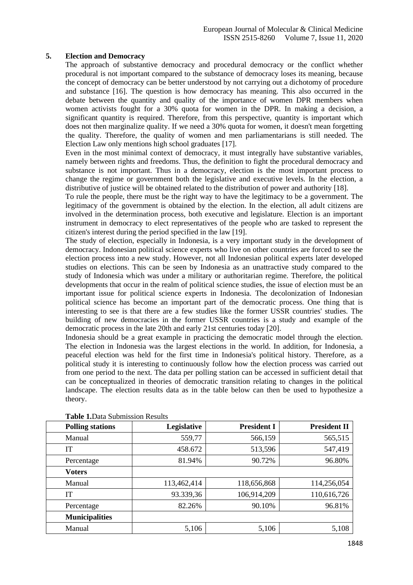### **5. Election and Democracy**

The approach of substantive democracy and procedural democracy or the conflict whether procedural is not important compared to the substance of democracy loses its meaning, because the concept of democracy can be better understood by not carrying out a dichotomy of procedure and substance [16]. The question is how democracy has meaning. This also occurred in the debate between the quantity and quality of the importance of women DPR members when women activists fought for a 30% quota for women in the DPR. In making a decision, a significant quantity is required. Therefore, from this perspective, quantity is important which does not then marginalize quality. If we need a 30% quota for women, it doesn't mean forgetting the quality. Therefore, the quality of women and men parliamentarians is still needed. The Election Law only mentions high school graduates [17].

Even in the most minimal context of democracy, it must integrally have substantive variables, namely between rights and freedoms. Thus, the definition to fight the procedural democracy and substance is not important. Thus in a democracy, election is the most important process to change the regime or government both the legislative and executive levels. In the election, a distributive of justice will be obtained related to the distribution of power and authority [18].

To rule the people, there must be the right way to have the legitimacy to be a government. The legitimacy of the government is obtained by the election. In the election, all adult citizens are involved in the determination process, both executive and legislature. Election is an important instrument in democracy to elect representatives of the people who are tasked to represent the citizen's interest during the period specified in the law [19].

The study of election, especially in Indonesia, is a very important study in the development of democracy. Indonesian political science experts who live on other countries are forced to see the election process into a new study. However, not all Indonesian political experts later developed studies on elections. This can be seen by Indonesia as an unattractive study compared to the study of Indonesia which was under a military or authoritarian regime. Therefore, the political developments that occur in the realm of political science studies, the issue of election must be an important issue for political science experts in Indonesia. The decolonization of Indonesian political science has become an important part of the democratic process. One thing that is interesting to see is that there are a few studies like the former USSR countries' studies. The building of new democracies in the former USSR countries is a study and example of the democratic process in the late 20th and early 21st centuries today [20].

Indonesia should be a great example in practicing the democratic model through the election. The election in Indonesia was the largest elections in the world. In addition, for Indonesia, a peaceful election was held for the first time in Indonesia's political history. Therefore, as a political study it is interesting to continuously follow how the election process was carried out from one period to the next. The data per polling station can be accessed in sufficient detail that can be conceptualized in theories of democratic transition relating to changes in the political landscape. The election results data as in the table below can then be used to hypothesize a theory.

| <b>Polling stations</b> | Legislative | <b>President I</b> | <b>President II</b> |
|-------------------------|-------------|--------------------|---------------------|
| Manual                  | 559,77      | 566,159            | 565,515             |
| IT                      | 458.672     | 513,596            | 547,419             |
| Percentage              | 81.94%      | 90.72%             | 96.80%              |
| Voters                  |             |                    |                     |
| Manual                  | 113,462,414 | 118,656,868        | 114,256,054         |
| <b>IT</b>               | 93.339,36   | 106,914,209        | 110,616,726         |
| Percentage              | 82.26%      | 90.10%             | 96.81%              |
| <b>Municipalities</b>   |             |                    |                     |
| Manual                  | 5,106       | 5,106              | 5,108               |

**Table 1.**Data Submission Results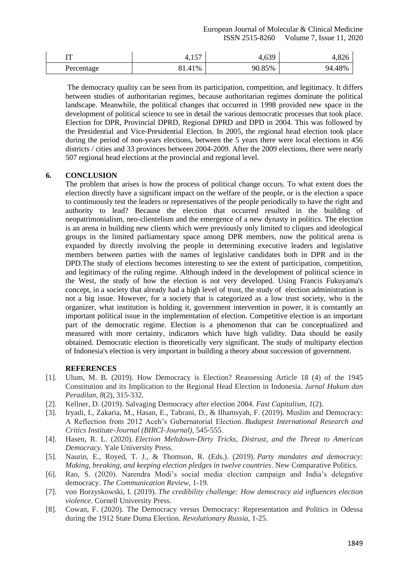| m          | $E^{\pi}$<br>т,⊥ Ј/ | 639<br>+,∪ノフ | ט∠ס,+  |
|------------|---------------------|--------------|--------|
| Percentage | 81.41%              | 90.85%       | 94.48% |

The democracy quality can be seen from its participation, competition, and legitimacy. It differs between studies of authoritarian regimes, because authoritarian regimes dominate the political landscape. Meanwhile, the political changes that occurred in 1998 provided new space in the development of political science to see in detail the various democratic processes that took place. Election for DPR, Provincial DPRD, Regional DPRD and DPD in 2004. This was followed by the Presidential and Vice-Presidential Election. In 2005, the regional head election took place during the period of non-years elections, between the 5 years there were local elections in 456 districts / cities and 33 provinces between 2004-2009. After the 2009 elections, there were nearly 507 regional head elections at the provincial and regional level.

## **6. CONCLUSION**

The problem that arises is how the process of political change occurs. To what extent does the election directly have a significant impact on the welfare of the people, or is the election a space to continuously test the leaders or representatives of the people periodically to have the right and authority to lead? Because the election that occurred resulted in the building of neopatrimonialism, neo-clientelism and the emergence of a new dynasty in politics. The election is an arena in building new clients which were previously only limited to cliques and ideological groups in the limited parliamentary space among DPR members, now the political arena is expanded by directly involving the people in determining executive leaders and legislative members between parties with the names of legislative candidates both in DPR and in the DPD.The study of elections becomes interesting to see the extent of participation, competition, and legitimacy of the ruling regime. Although indeed in the development of political science in the West, the study of how the election is not very developed. Using Francis Fukuyama's concept, in a society that already had a high level of trust, the study of election administration is not a big issue. However, for a society that is categorized as a low trust society, who is the organizer, what institution is holding it, government intervention in power, it is constantly an important political issue in the implementation of election. Competitive election is an important part of the democratic regime. Election is a phenomenon that can be conceptualized and measured with more certainty, indicators which have high validity. Data should be easily obtained. Democratic election is theoretically very significant. The study of multiparty election of Indonesia's election is very important in building a theory about succession of government.

## **REFERENCES**

- [1]. Ulum, M. B. (2019). How Democracy is Election? Reassessing Article 18 (4) of the 1945 Constitution and its Implication to the Regional Head Election in Indonesia. *Jurnal Hukum dan Peradilan*, *8*(2), 315-332.
- [2]. Kellner, D. (2019). Salvaging Democracy after election 2004. *Fast Capitalism*, *1*(2).
- [3]. Iryadi, I., Zakaria, M., Hasan, E., Tabrani, D., & Ilhamsyah, F. (2019). Muslim and Democracy: A Reflection from 2012 Aceh's Gubernatorial Election. *Budapest International Research and Critics Institute-Journal (BIRCI-Journal)*, 545-555.
- [4]. Hasen, R. L. (2020). *Election Meltdown-Dirty Tricks, Distrust, and the Threat to American Democracy*. Yale University Press.
- [5]. Naurin, E., Royed, T. J., & Thomson, R. (Eds.). (2019). *Party mandates and democracy: Making, breaking, and keeping election pledges in twelve countries*. New Comparative Politics.
- [6]. Rao, S. (2020). Narendra Modi's social media election campaign and India's delegative democracy. *The Communication Review*, 1-19.
- [7]. von Borzyskowski, I. (2019). *The credibility challenge: How democracy aid influences election violence*. Cornell University Press.
- [8]. Cowan, F. (2020). The Democracy versus Democracy: Representation and Politics in Odessa during the 1912 State Duma Election. *Revolutionary Russia*, 1-25.